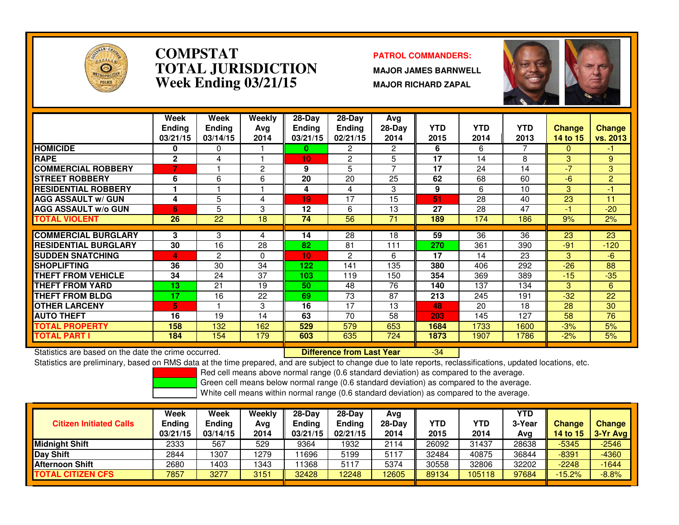

### **COMPSTAT PATROL COMMANDERS: TOTAL JURISDICTIONWeek Ending 03/21/15**

 **MAJOR JAMES BARNWELL MAJOR RICHARD ZAPAL**

-34



|                             | Week<br><b>Ending</b><br>03/21/15 | Week<br><b>Ending</b><br>03/14/15 | Weekly<br>Ava<br>2014 | $28-Day$<br><b>Ending</b><br>03/21/15 | $28-Day$<br><b>Endina</b><br>02/21/15 | Avg<br>$28-Day$<br>2014 | <b>YTD</b><br>2015 | <b>YTD</b><br>2014 | <b>YTD</b><br>2013 | <b>Change</b><br>14 to 15 | <b>Change</b><br>vs. 2013            |
|-----------------------------|-----------------------------------|-----------------------------------|-----------------------|---------------------------------------|---------------------------------------|-------------------------|--------------------|--------------------|--------------------|---------------------------|--------------------------------------|
| <b>HOMICIDE</b>             | 0                                 | 0                                 |                       | 0                                     | 2                                     | 2                       | 6                  | 6                  |                    | $\Omega$                  | $\blacktriangle \blacktriangleright$ |
| <b>RAPE</b>                 | $\mathbf{2}$                      | 4                                 |                       | 10                                    | 2                                     | 5                       | 17                 | 14                 | 8                  | 3                         | 9                                    |
| <b>COMMERCIAL ROBBERY</b>   | 7                                 |                                   | 2                     | 9                                     | 5                                     | $\overline{ }$          | 17                 | 24                 | 14                 | $-7$                      | 3                                    |
| <b>STREET ROBBERY</b>       | 6                                 | 6                                 | 6                     | 20                                    | 20                                    | 25                      | 62                 | 68                 | 60                 | -6                        | $\overline{2}$                       |
| <b>RESIDENTIAL ROBBERY</b>  |                                   |                                   |                       | 4                                     | 4                                     | 3                       | 9                  | 6                  | 10                 | 3                         | $-1$                                 |
| <b>AGG ASSAULT w/ GUN</b>   | 4                                 | 5                                 | 4                     | 19                                    | 17                                    | 15                      | 51                 | 28                 | 40                 | 23                        | 11                                   |
| <b>AGG ASSAULT w/o GUN</b>  | 6                                 | 5                                 | 3                     | 12                                    | 6                                     | 13                      | 27                 | 28                 | 47                 | -1                        | $-20$                                |
| <b>TOTAL VIOLENT</b>        | 26                                | 22                                | 18                    | 74                                    | 56                                    | 71                      | 189                | 174                | 186                | 9%                        | 2%                                   |
|                             |                                   |                                   |                       |                                       |                                       |                         |                    |                    |                    |                           |                                      |
| <b>COMMERCIAL BURGLARY</b>  | 3                                 | 3                                 | 4                     | 14                                    | 28                                    | 18                      | 59                 | 36                 | 36                 | 23                        | 23                                   |
| <b>RESIDENTIAL BURGLARY</b> | 30                                | 16                                | 28                    | 82                                    | 81                                    | 111                     | 270                | 361                | 390                | $-91$                     | $-120$                               |
| <b>SUDDEN SNATCHING</b>     | 4                                 | $\overline{c}$                    | $\Omega$              | 10                                    | $\overline{2}$                        | 6                       | 17                 | 14                 | 23                 | 3                         | $-6$                                 |
| <b>SHOPLIFTING</b>          | 36                                | 30                                | 34                    | 122                                   | 141                                   | 135                     | 380                | 406                | 292                | $-26$                     | 88                                   |
| THEFT FROM VEHICLE          | 34                                | 24                                | 37                    | 103                                   | 119                                   | 150                     | 354                | 369                | 389                | $-15$                     | $-35$                                |
| <b>THEFT FROM YARD</b>      | 13                                | 21                                | 19                    | 50                                    | 48                                    | 76                      | 140                | 137                | 134                | 3                         | 6                                    |
| <b>THEFT FROM BLDG</b>      | 17                                | 16                                | 22                    | 69                                    | 73                                    | 87                      | 213                | 245                | 191                | $-32$                     | 22                                   |
| <b>OTHER LARCENY</b>        | 5                                 |                                   | 3                     | 16                                    | 17                                    | 13                      | 48                 | 20                 | 18                 | 28                        | 30                                   |
| <b>AUTO THEFT</b>           | 16                                | 19                                | 14                    | 63                                    | 70                                    | 58                      | 203                | 145                | 127                | 58                        | 76                                   |
| <b>TOTAL PROPERTY</b>       | 158                               | 132                               | 162                   | 529                                   | 579                                   | 653                     | 1684               | 1733               | 1600               | $-3%$                     | 5%                                   |
| <b>TOTAL PART I</b>         | 184                               | 154                               | 179                   | 603                                   | 635                                   | 724                     | 1873               | 1907               | 1786               | $-2%$                     | 5%                                   |

Statistics are based on the date the crime occurred. **Difference from Last Year** 

Statistics are preliminary, based on RMS data at the time prepared, and are subject to change due to late reports, reclassifications, updated locations, etc.

Red cell means above normal range (0.6 standard deviation) as compared to the average.

Green cell means below normal range (0.6 standard deviation) as compared to the average.

| <b>Citizen Initiated Calls</b> | Week<br><b>Ending</b><br>03/21/15 | Week<br><b>Ending</b><br>03/14/15 | Weekly<br>Avg<br>2014 | $28-Dav$<br><b>Ending</b><br>03/21/15 | $28-Day$<br><b>Ending</b><br>02/21/15 | Avg<br>$28-Day$<br>2014 | YTD<br>2015 | YTD<br>2014 | <b>YTD</b><br>3-Year<br>Avg | <b>Change</b><br>14 to $15$ | <b>Change</b><br>$\sqrt{3-1}$ 3-Yr Avg |
|--------------------------------|-----------------------------------|-----------------------------------|-----------------------|---------------------------------------|---------------------------------------|-------------------------|-------------|-------------|-----------------------------|-----------------------------|----------------------------------------|
| <b>Midnight Shift</b>          | 2333                              | 567                               | 529                   | 9364                                  | 1932                                  | 2114                    | 26092       | 31437       | 28638                       | $-5345$                     | $-2546$                                |
| Day Shift                      | 2844                              | 307                               | 1279                  | 11696                                 | 5199                                  | 5117                    | 32484       | 40875       | 36844                       | $-8391$                     | $-4360$                                |
| <b>Afternoon Shift</b>         | 2680                              | 403                               | 1343                  | 11368                                 | 5117                                  | 5374                    | 30558       | 32806       | 32202                       | $-2248$                     | $-1644$                                |
| <b>TOTAL CITIZEN CFS</b>       | 7857                              | 3277                              | 3151                  | 32428                                 | 2248                                  | 12605                   | 89134       | 105118      | 97684                       | $-15.2%$                    | $-8.8%$                                |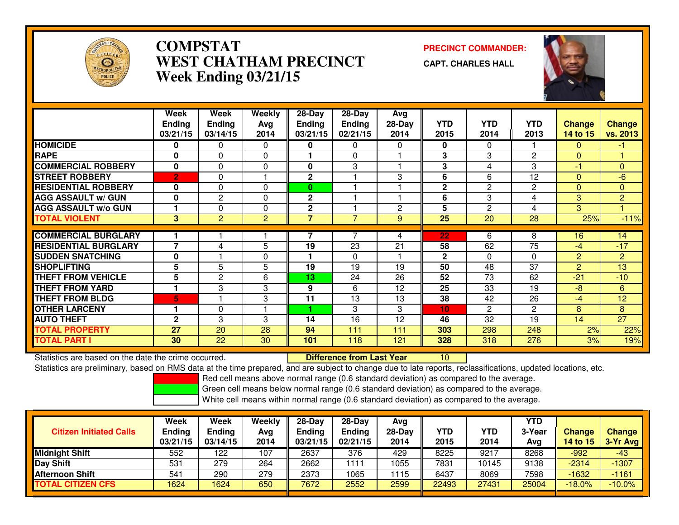

# **COMPSTAT PRECINCT COMMANDER: WEST CHATHAM PRECINCTWeek Ending 03/21/15**

**CAPT. CHARLES HALL**



|                             | Week<br><b>Ending</b><br>03/21/15 | Week<br><b>Ending</b><br>03/14/15 | Weekly<br>Avg<br>2014 | $28$ -Day<br><b>Ending</b><br>03/21/15 | $28 - Day$<br><b>Ending</b><br>02/21/15 | Avg<br>28-Day<br>2014 | <b>YTD</b><br>2015 | <b>YTD</b><br>2014 | <b>YTD</b><br>2013 | <b>Change</b><br>14 to 15 | <b>Change</b><br>vs. 2013 |
|-----------------------------|-----------------------------------|-----------------------------------|-----------------------|----------------------------------------|-----------------------------------------|-----------------------|--------------------|--------------------|--------------------|---------------------------|---------------------------|
| <b>HOMICIDE</b>             | 0                                 | 0                                 | $\Omega$              | 0                                      | $\mathbf{0}$                            | 0                     | $\mathbf 0$        | 0                  |                    | 0                         | -1                        |
| <b>RAPE</b>                 | $\bf{0}$                          | $\Omega$                          | $\Omega$              |                                        | 0                                       |                       | 3                  | 3                  | 2                  | $\Omega$                  |                           |
| <b>COMMERCIAL ROBBERY</b>   | $\bf{0}$                          | $\Omega$                          | $\Omega$              | 0                                      | 3                                       |                       | 3                  | 4                  | 3                  | -1                        | $\mathbf{0}$              |
| <b>STREET ROBBERY</b>       | $\overline{2}$                    | $\mathbf 0$                       |                       | $\mathbf 2$                            |                                         | 3                     | 6                  | 6                  | 12                 | $\Omega$                  | -6                        |
| <b>RESIDENTIAL ROBBERY</b>  | $\bf{0}$                          | $\Omega$                          | $\Omega$              | $\bf{0}$                               |                                         |                       | $\mathbf{2}$       | 2                  | 2                  | $\Omega$                  | $\Omega$                  |
| <b>AGG ASSAULT w/ GUN</b>   | $\bf{0}$                          | $\overline{c}$                    | 0                     | $\mathbf 2$                            |                                         |                       | 6                  | 3                  | 4                  | 3                         | $\overline{2}$            |
| <b>AGG ASSAULT w/o GUN</b>  |                                   | $\Omega$                          | $\Omega$              | $\mathbf{2}$                           |                                         | 2                     | 5                  | $\overline{2}$     | 4                  | 3                         |                           |
| <b>TOTAL VIOLENT</b>        | 3                                 | $\overline{2}$                    | $\overline{2}$        | $\overline{7}$                         | 7                                       | 9                     | 25                 | 20                 | 28                 | 25%                       | $-11%$                    |
|                             |                                   |                                   |                       |                                        |                                         |                       |                    |                    |                    |                           |                           |
| <b>COMMERCIAL BURGLARY</b>  |                                   |                                   |                       |                                        |                                         | 4                     | 22                 | 6                  | 8                  | 16                        | 14                        |
| <b>RESIDENTIAL BURGLARY</b> | 7                                 | 4                                 | 5                     | 19                                     | 23                                      | 21                    | 58                 | 62                 | 75                 | -4                        | $-17$                     |
| <b>ISUDDEN SNATCHING</b>    | 0                                 |                                   | $\Omega$              |                                        | $\Omega$                                |                       | $\overline{2}$     | 0                  | $\Omega$           | 2                         | 2                         |
| <b>SHOPLIFTING</b>          | 5                                 | 5                                 | 5                     | 19                                     | 19                                      | 19                    | 50                 | 48                 | 37                 | $\overline{2}$            | 13                        |
| <b>THEFT FROM VEHICLE</b>   | 5                                 | $\overline{2}$                    | 6                     | 13                                     | 24                                      | 26                    | 52                 | 73                 | 62                 | $-21$                     | $-10$                     |
| <b>THEFT FROM YARD</b>      |                                   | 3                                 | 3                     | 9                                      | 6                                       | 12                    | 25                 | 33                 | 19                 | $-8$                      | 6                         |
| <b>THEFT FROM BLDG</b>      | 5                                 |                                   | 3                     | 11                                     | 13                                      | 13                    | 38                 | 42                 | 26                 | -4                        | 12                        |
| <b>OTHER LARCENY</b>        |                                   | 0                                 |                       |                                        | 3                                       | 3                     | 10                 | $\overline{2}$     | $\mathbf{2}$       | 8                         | 8                         |
| <b>AUTO THEFT</b>           | 2                                 | 3                                 | 3                     | 14                                     | 16                                      | 12                    | 46                 | 32                 | 19                 | 14                        | 27                        |
| <b>TOTAL PROPERTY</b>       | 27                                | 20                                | 28                    | 94                                     | 111                                     | 111                   | 303                | 298                | 248                | 2%                        | 22%                       |
| <b>TOTAL PART I</b>         | 30                                | 22                                | 30                    | 101                                    | 118                                     | 121                   | 328                | 318                | 276                | 3%                        | 19%                       |

Statistics are based on the date the crime occurred. **Difference from Last Year**  <sup>10</sup>Statistics are preliminary, based on RMS data at the time prepared, and are subject to change due to late reports, reclassifications, updated locations, etc.

Red cell means above normal range (0.6 standard deviation) as compared to the average.

Green cell means below normal range (0.6 standard deviation) as compared to the average.

| <b>Citizen Initiated Calls</b> | Week<br><b>Ending</b><br>03/21/15 | Week<br><b>Ending</b><br>03/14/15 | Weekly<br>Avg<br>2014 | $28-Dav$<br>Ending<br>03/21/15 | $28-Day$<br><b>Ending</b><br>02/21/15 | Avg<br>$28-Day$<br>2014 | YTD<br>2015 | <b>YTD</b><br>2014 | YTD<br>3-Year<br>Avg | <b>Change</b><br>14 to 15 | <b>Change</b><br>3-Yr Avg |
|--------------------------------|-----------------------------------|-----------------------------------|-----------------------|--------------------------------|---------------------------------------|-------------------------|-------------|--------------------|----------------------|---------------------------|---------------------------|
| <b>Midnight Shift</b>          | 552                               | 122                               | 107                   | 2637                           | 376                                   | 429                     | 8225        | 9217               | 8268                 | $-992$                    | $-43$                     |
| <b>Day Shift</b>               | 531                               | 279                               | 264                   | 2662                           | 111                                   | 1055                    | 7831        | 10145              | 9138                 | $-2314$                   | $-1307$                   |
| Afternoon Shift                | 541                               | 290                               | 279                   | 2373                           | 1065                                  | 1115                    | 6437        | 8069               | 7598                 | $-1632$                   | $-1161$                   |
| <b>TOTAL CITIZEN CFS</b>       | 1624                              | 1624                              | 650                   | 7672                           | 2552                                  | 2599                    | 22493       | 27431              | 25004                | $-18.0\%$                 | $-10.0%$                  |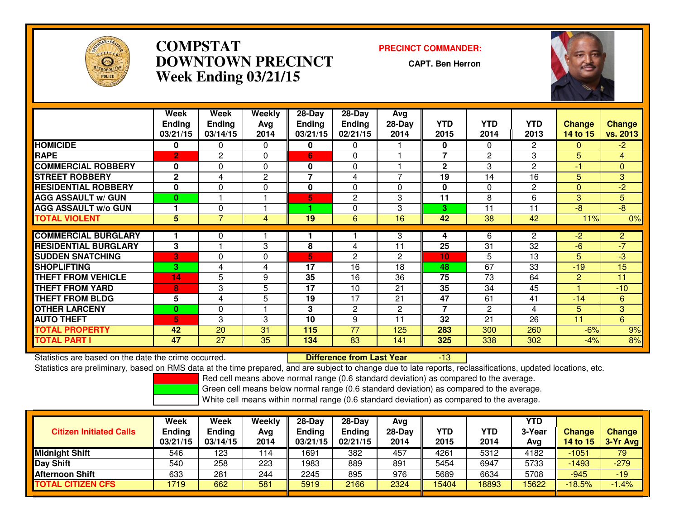

# **COMPSTAT PRECINCT COMMANDER: DOWNTOWN PRECINCTWeek Ending 03/21/15**

**CAPT. Ben Herron**



|                             | Week          | Week          | Weekly         | $28 - Day$               | $28 - Day$     | Avg            |                |                |                |                |                |
|-----------------------------|---------------|---------------|----------------|--------------------------|----------------|----------------|----------------|----------------|----------------|----------------|----------------|
|                             | <b>Ending</b> | <b>Ending</b> | Avg            | <b>Ending</b>            | <b>Ending</b>  | $28-Day$       | <b>YTD</b>     | <b>YTD</b>     | <b>YTD</b>     | <b>Change</b>  | <b>Change</b>  |
|                             | 03/21/15      | 03/14/15      | 2014           | 03/21/15                 | 02/21/15       | 2014           | 2015           | 2014           | 2013           | 14 to 15       | vs. 2013       |
| <b>HOMICIDE</b>             | 0             | $\mathbf{0}$  | $\Omega$       | 0                        | 0              |                | 0              | $\Omega$       | $\mathbf{2}$   | $\Omega$       | $-2$           |
| <b>RAPE</b>                 | $\mathbf{2}$  | 2             | $\Omega$       | 6                        | $\Omega$       |                | $\overline{7}$ | $\overline{c}$ | 3              | 5              | $\overline{4}$ |
| <b>COMMERCIAL ROBBERY</b>   | 0             | $\Omega$      | $\Omega$       | 0                        | $\mathbf{0}$   |                | $\mathbf{2}$   | 3              | $\overline{c}$ | $-1$           | $\overline{0}$ |
| <b>STREET ROBBERY</b>       | $\mathbf{2}$  | 4             | 2              | $\overline{\phantom{a}}$ | 4              | 7              | 19             | 14             | 16             | 5              | 3              |
| <b>RESIDENTIAL ROBBERY</b>  | $\bf{0}$      | $\mathbf{0}$  | $\Omega$       | 0                        | $\Omega$       | 0              | $\mathbf{0}$   | $\Omega$       | 2              | $\Omega$       | $-2$           |
| <b>AGG ASSAULT w/ GUN</b>   | $\mathbf{0}$  |               |                | 5                        | $\mathbf{2}$   | 3              | 11             | 8              | 6              | 3              | 5              |
| <b>AGG ASSAULT w/o GUN</b>  |               | 0             |                | ٠                        | $\Omega$       | 3              | 3              | 11             | 11             | $-8$           | $-8$           |
| <b>TOTAL VIOLENT</b>        | 5             | 7             | $\overline{4}$ | 19                       | 6              | 16             | 42             | 38             | 42             | 11%            | 0%             |
|                             |               |               |                |                          |                |                |                |                |                |                |                |
| <b>COMMERCIAL BURGLARY</b>  |               | 0             |                |                          |                | 3              | 4              | 6              | $\overline{2}$ | $-2$           | $\overline{2}$ |
| <b>RESIDENTIAL BURGLARY</b> | 3             |               | 3              | 8                        | 4              | 11             | 25             | 31             | 32             | $-6$           | $-7$           |
| <b>SUDDEN SNATCHING</b>     | 3             | $\Omega$      | $\Omega$       | 5                        | $\mathbf{2}$   | 2              | 10             | 5              | 13             | 5              | $-3$           |
| <b>SHOPLIFTING</b>          | 3.            | 4             | 4              | 17                       | 16             | 18             | 48             | 67             | 33             | $-19$          | 15             |
| <b>THEFT FROM VEHICLE</b>   | 14            | 5             | 9              | 35                       | 16             | 36             | 75             | 73             | 64             | $\overline{2}$ | 11             |
| <b>THEFT FROM YARD</b>      | 8             | 3             | 5              | 17                       | 10             | 21             | 35             | 34             | 45             |                | $-10$          |
| <b>THEFT FROM BLDG</b>      | 5             | 4             | 5              | 19                       | 17             | 21             | 47             | 61             | 41             | $-14$          | 6              |
| <b>OTHER LARCENY</b>        | $\bf{0}$      | $\Omega$      |                | 3                        | $\overline{c}$ | $\overline{c}$ | $\overline{7}$ | 2              | 4              | 5              | 3              |
| <b>AUTO THEFT</b>           | 5             | 3             | 3              | 10                       | 9              | 11             | 32             | 21             | 26             | 11             | 6              |
| TOTAL PROPERTY              | 42            | 20            | 31             | 115                      | 77             | 125            | 283            | 300            | 260            | $-6%$          | 9%             |
| <b>TOTAL PART I</b>         | 47            | 27            | 35             | 134                      | 83             | 141            | 325            | 338            | 302            | $-4%$          | 8%             |

Statistics are based on the date the crime occurred. **Difference from Last Year**  -13Statistics are preliminary, based on RMS data at the time prepared, and are subject to change due to late reports, reclassifications, updated locations, etc.

Red cell means above normal range (0.6 standard deviation) as compared to the average.

Green cell means below normal range (0.6 standard deviation) as compared to the average.

| <b>Citizen Initiated Calls</b>  | Week<br>Ending<br>03/21/15 | Week<br><b>Ending</b><br>03/14/15 | Weekly<br>Avg<br>2014 | 28-Day<br><b>Ending</b><br>03/21/15 | $28-Day$<br>Ending<br>02/21/15 | Avg<br>$28-Day$<br>2014 | YTD<br>2015 | <b>YTD</b><br>2014 | YTD<br>3-Year<br>Avg | <b>Change</b><br><b>14 to 15</b> | <b>Change</b><br>3-Yr Avg |
|---------------------------------|----------------------------|-----------------------------------|-----------------------|-------------------------------------|--------------------------------|-------------------------|-------------|--------------------|----------------------|----------------------------------|---------------------------|
| <b>Midnight Shift</b>           | 546                        | 123                               | 114                   | 1691                                | 382                            | 457                     | 4261        | 5312               | 4182                 | $-1051$                          | 79                        |
| Day Shift                       | 540                        | 258                               | 223                   | 1983                                | 889                            | 891                     | 5454        | 6947               | 5733                 | $-1493$                          | $-279$                    |
| <b>Afternoon Shift</b>          | 633                        | 281                               | 244                   | 2245                                | 895                            | 976                     | 5689        | 6634               | 5708                 | $-945$                           | $-19$                     |
| <b><i>FOTAL CITIZEN CFS</i></b> | 1719                       | 662                               | 581                   | 5919                                | 2166                           | 2324                    | 15404       | 8893               | 15622                | $-18.5%$                         | $.4\%$                    |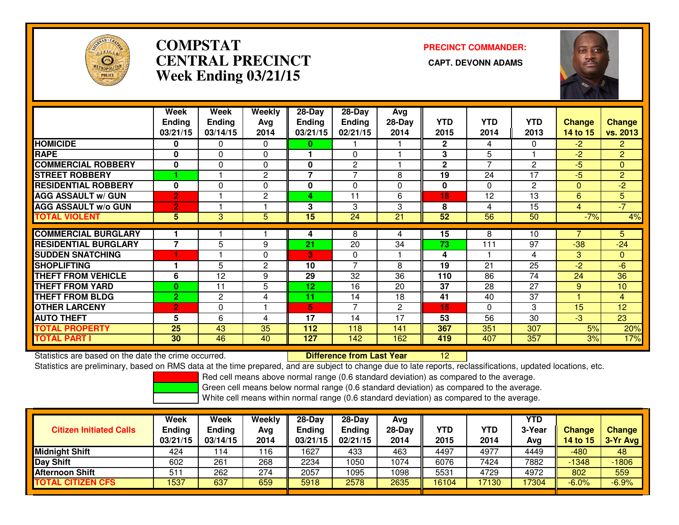

# **COMPSTATCENTRAL PRECINCT Week Ending 03/21/15**

**PRECINCT COMMANDER:**



|                             | Week           | Week           | Weekly         | 28-Day          | 28-Day         | Avg      |                 |                |                |                |                 |
|-----------------------------|----------------|----------------|----------------|-----------------|----------------|----------|-----------------|----------------|----------------|----------------|-----------------|
|                             | <b>Ending</b>  | <b>Ending</b>  | Avg            | <b>Ending</b>   | <b>Ending</b>  | $28-Day$ | <b>YTD</b>      | <b>YTD</b>     | <b>YTD</b>     | <b>Change</b>  | <b>Change</b>   |
|                             | 03/21/15       | 03/14/15       | 2014           | 03/21/15        | 02/21/15       | 2014     | 2015            | 2014           | 2013           | 14 to 15       | vs. 2013        |
| <b>HOMICIDE</b>             | 0              | 0              | $\Omega$       | 0               |                |          | $\mathbf{2}$    | 4              | 0              | $-2$           | $\overline{2}$  |
| <b>RAPE</b>                 | $\bf{0}$       | $\Omega$       | $\Omega$       |                 | 0              |          | 3               | 5              |                | $-2$           | $\overline{2}$  |
| <b>COMMERCIAL ROBBERY</b>   | $\bf{0}$       | $\Omega$       | 0              | 0               | 2              |          | $\mathbf{2}$    | $\overline{ }$ | $\overline{2}$ | $-5$           | $\mathbf{0}$    |
| <b>STREET ROBBERY</b>       |                |                | 2              | 7               | 7              | 8        | 19              | 24             | 17             | $-5$           | $\overline{2}$  |
| <b>RESIDENTIAL ROBBERY</b>  | $\mathbf{0}$   | 0              | $\mathbf 0$    | 0               | $\Omega$       | 0        | 0               | $\Omega$       | $\mathbf{2}$   | $\mathbf{0}$   | $-2$            |
| <b>AGG ASSAULT W/ GUN</b>   | $\overline{2}$ |                | $\overline{2}$ | 4               | 11             | 6        | 18              | 12             | 13             | 6              | 5               |
| <b>AGG ASSAULT w/o GUN</b>  | $\overline{2}$ |                |                | 3               | 3              | 3        | 8               | 4              | 15             | $\overline{4}$ | $-7$            |
| <b>TOTAL VIOLENT</b>        | 5              | 3              | 5              | $\overline{15}$ | 24             | 21       | $\overline{52}$ | 56             | 50             | $-7%$          | 4%              |
|                             |                |                |                |                 |                |          |                 |                |                |                |                 |
| <b>COMMERCIAL BURGLARY</b>  |                |                |                | 4               | 8              | 4        | 15              | 8              | 10             |                | 5               |
| <b>RESIDENTIAL BURGLARY</b> | $\overline{ }$ | 5              | 9              | 21              | 20             | 34       | 73              | 111            | 97             | $-38$          | $-24$           |
| <b>SUDDEN SNATCHING</b>     |                |                | $\Omega$       | 3               | $\mathbf{0}$   |          | 4               |                | 4              | 3              | $\Omega$        |
| <b>SHOPLIFTING</b>          |                | 5              | $\overline{2}$ | 10              | $\overline{7}$ | 8        | 19              | 21             | 25             | $-2$           | $-6$            |
| <b>THEFT FROM VEHICLE</b>   | 6              | 12             | 9              | 29              | 32             | 36       | 110             | 86             | 74             | 24             | 36              |
| <b>THEFT FROM YARD</b>      | $\bf{0}$       | 11             | 5              | 12              | 16             | 20       | 37              | 28             | 27             | 9              | 10              |
| <b>THEFT FROM BLDG</b>      | $\overline{2}$ | $\overline{2}$ | 4              | 11              | 14             | 18       | 41              | 40             | 37             |                | $\overline{4}$  |
| <b>OTHER LARCENY</b>        | $\overline{2}$ | $\Omega$       |                | 5               | $\overline{7}$ | 2        | 15              | $\Omega$       | 3              | 15             | 12              |
| <b>AUTO THEFT</b>           | 5              | 6              | 4              | 17              | 14             | 17       | 53              | 56             | 30             | $-3$           | $\overline{23}$ |
| <b>TOTAL PROPERTY</b>       | 25             | 43             | 35             | 112             | 118            | 141      | 367             | 351            | 307            | 5%             | 20%             |
| <b>TOTAL PART I</b>         | 30             | 46             | 40             | 127             | 142            | 162      | 419             | 407            | 357            | 3%             | 17%             |

Statistics are based on the date the crime occurred. **Difference from Last Year** 

Statistics are based on the date the crime occurred.<br>Statistics are preliminary, based on RMS data at the time prepared, and are subject to change due to late reports, reclassifications, updated locations, etc.

Red cell means above normal range (0.6 standard deviation) as compared to the average.

Green cell means below normal range (0.6 standard deviation) as compared to the average.

| <b>Citizen Initiated Calls</b> | Week<br><b>Ending</b><br>03/21/15 | Week<br><b>Ending</b><br>03/14/15 | Weekly<br>Avg<br>2014 | 28-Day<br><b>Ending</b><br>03/21/15 | $28-Dav$<br>Ending<br>02/21/15 | Ava<br>$28-Day$<br>2014 | <b>YTD</b><br>2015 | YTD<br>2014 | YTD<br>3-Year<br>Avg | <b>Change</b><br>14 to 15 | <b>Change</b><br>3-Yr Avg |
|--------------------------------|-----------------------------------|-----------------------------------|-----------------------|-------------------------------------|--------------------------------|-------------------------|--------------------|-------------|----------------------|---------------------------|---------------------------|
| Midnight Shift                 | 424                               | 114                               | 116                   | 1627                                | 433                            | 463                     | 4497               | 4977        | 4449                 | $-480$                    | 48                        |
| Day Shift                      | 602                               | 261                               | 268                   | 2234                                | 050                            | 1074                    | 6076               | 7424        | 7882                 | $-1348$                   | $-1806$                   |
| Afternoon Shift                | 51 <sup>1</sup>                   | 262                               | 274                   | 2057                                | 095                            | 1098                    | 5531               | 4729        | 4972                 | 802                       | 559                       |
| <b>TOTAL CITIZEN CFS</b>       | <b>537</b>                        | 637                               | 659                   | 5918                                | 2578                           | 2635                    | 16104              | 17130       | 17304                | $-6.0%$                   | $-6.9%$                   |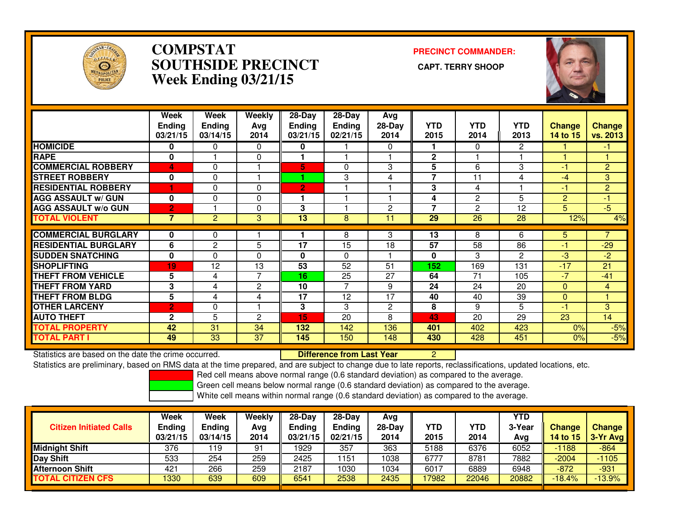

### **COMPSTAT PRECINCT COMMANDER: SOUTHSIDE PRECINCT CAPT. TERRY SHOOPWeek Ending 03/21/15**



|                             | Week<br><b>Ending</b><br>03/21/15 | Week<br><b>Endina</b><br>03/14/15 | Weekly<br>Avg<br>2014 | 28-Day<br><b>Ending</b><br>03/21/15 | $28-Day$<br><b>Ending</b><br>02/21/15 | Avg<br>$28-Day$<br>2014 | <b>YTD</b><br>2015       | <b>YTD</b><br>2014 | <b>YTD</b><br>2013 | <b>Change</b><br>14 to 15 | <b>Change</b><br>vs. 2013 |
|-----------------------------|-----------------------------------|-----------------------------------|-----------------------|-------------------------------------|---------------------------------------|-------------------------|--------------------------|--------------------|--------------------|---------------------------|---------------------------|
| <b>HOMICIDE</b>             | 0                                 | 0                                 | 0                     | 0                                   |                                       | 0                       |                          | 0                  | $\overline{2}$     |                           | $-1$                      |
| <b>RAPE</b>                 | $\bf{0}$                          |                                   | 0                     |                                     |                                       |                         | $\mathbf{2}$             |                    |                    |                           |                           |
| <b>COMMERCIAL ROBBERY</b>   | 4                                 | 0                                 |                       | 5                                   | $\Omega$                              | 3                       | 5                        | 6                  | 3                  | -1                        | $\overline{2}$            |
| <b>STREET ROBBERY</b>       | $\mathbf{0}$                      | $\Omega$                          |                       |                                     | 3                                     | 4                       | $\overline{\phantom{a}}$ | 11                 | 4                  | $-4$                      | 3                         |
| <b>RESIDENTIAL ROBBERY</b>  |                                   | 0                                 | $\Omega$              | $\mathbf{2}$                        |                                       |                         | 3                        | 4                  |                    | -1                        | $\overline{2}$            |
| <b>AGG ASSAULT w/ GUN</b>   | $\bf{0}$                          | 0                                 | $\Omega$              |                                     |                                       |                         | 4                        | $\mathbf{2}$       | 5                  | $\overline{2}$            | $-1$                      |
| <b>AGG ASSAULT w/o GUN</b>  | $\overline{2}$                    |                                   | 0                     | 3                                   |                                       | $\overline{c}$          | $\overline{7}$           | $\overline{c}$     | 12                 | 5                         | $-5$                      |
| <b>TOTAL VIOLENT</b>        | 7                                 | 2                                 | 3                     | 13                                  | 8                                     | 11                      | 29                       | 26                 | 28                 | 12%                       | 4%                        |
| <b>COMMERCIAL BURGLARY</b>  | 0                                 | 0                                 |                       |                                     | 8                                     | 3                       | 13                       | 8                  | 6                  | 5.                        | 7                         |
| <b>RESIDENTIAL BURGLARY</b> | 6                                 | $\overline{2}$                    | 5                     | 17                                  | 15                                    | 18                      | 57                       | 58                 | 86                 | -1                        | $-29$                     |
| <b>SUDDEN SNATCHING</b>     | $\bf{0}$                          | 0                                 | $\Omega$              | $\bf{0}$                            | $\Omega$                              |                         | 0                        | 3                  | $\overline{2}$     | $-3$                      | $\overline{2}$            |
| <b>SHOPLIFTING</b>          | 19                                | 12                                | $\overline{13}$       | $\overline{53}$                     | $\overline{52}$                       | 51                      | 152                      | 169                | 131                | $-17$                     | 21                        |
| <b>THEFT FROM VEHICLE</b>   | 5                                 | 4                                 | 7                     | 16                                  | 25                                    | 27                      | 64                       | 71                 | 105                | $-7$                      | $-41$                     |
| <b>THEFT FROM YARD</b>      | 3                                 | 4                                 | 2                     | 10                                  | 7                                     | 9                       | 24                       | 24                 | 20                 | $\Omega$                  | 4                         |
| <b>THEFT FROM BLDG</b>      | 5                                 | 4                                 | 4                     | 17                                  | 12                                    | 17                      | 40                       | 40                 | 39                 | $\mathbf{0}$              |                           |
| <b>OTHER LARCENY</b>        | $\overline{2}$                    | 0                                 |                       | 3                                   | 3                                     | $\overline{2}$          | 8                        | 9                  | 5                  | $-1$                      | 3                         |
| <b>AUTO THEFT</b>           | $\mathbf{2}$                      | 5                                 | 2                     | 15                                  | 20                                    | 8                       | 43                       | 20                 | 29                 | 23                        | 14                        |
| <b>TOTAL PROPERTY</b>       | 42                                | 31                                | 34                    | 132                                 | 142                                   | 136                     | 401                      | 402                | 423                | 0%                        | $-5%$                     |
| <b>TOTAL PART I</b>         | 49                                | 33                                | 37                    | 145                                 | 150                                   | 148                     | 430                      | 428                | 451                | 0%                        | $-5%$                     |

Statistics are based on the date the crime occurred. **Difference from Last Year** 

Statistics are based on the date the crime occurred. **Externee the Luit of Lifterence from Last Year Matem Andi**<br>Statistics are preliminary, based on RMS data at the time prepared, and are subject to change due to late rep

Red cell means above normal range (0.6 standard deviation) as compared to the average.

Green cell means below normal range (0.6 standard deviation) as compared to the average.

| <b>Citizen Initiated Calls</b> | Week<br><b>Ending</b><br>03/21/15 | <b>Week</b><br><b>Ending</b><br>03/14/15 | Weekly<br>Avg<br>2014 | $28-Dav$<br><b>Endina</b><br>03/21/15 | $28-Dav$<br><b>Ending</b><br>02/21/15 | Ava<br>28-Dav<br>2014 | YTD<br>2015 | YTD<br>2014 | YTD<br>3-Year<br>Avg | <b>Change</b><br><b>14 to 15</b> | <b>Change</b><br><b>3-Yr Avg</b> |
|--------------------------------|-----------------------------------|------------------------------------------|-----------------------|---------------------------------------|---------------------------------------|-----------------------|-------------|-------------|----------------------|----------------------------------|----------------------------------|
| <b>Midnight Shift</b>          | 376                               | 19                                       | 91                    | 1929                                  | 357                                   | 363                   | 5188        | 6376        | 6052                 | $-1188$                          | $-864$                           |
| <b>Day Shift</b>               | 533                               | 254                                      | 259                   | 2425                                  | 151                                   | 1038                  | 6777        | 8781        | 7882                 | -2004                            | $-1105$                          |
| Afternoon Shift                | 421                               | 266                                      | 259                   | 2187                                  | 1030                                  | 1034                  | 6017        | 6889        | 6948                 | $-872$                           | -931                             |
| <b>TOTAL CITIZEN CFS</b>       | 1330                              | 639                                      | 609                   | 6541                                  | 2538                                  | 2435                  | 17982       | 22046       | 20882                | $-18.4%$                         | $-13.9%$                         |